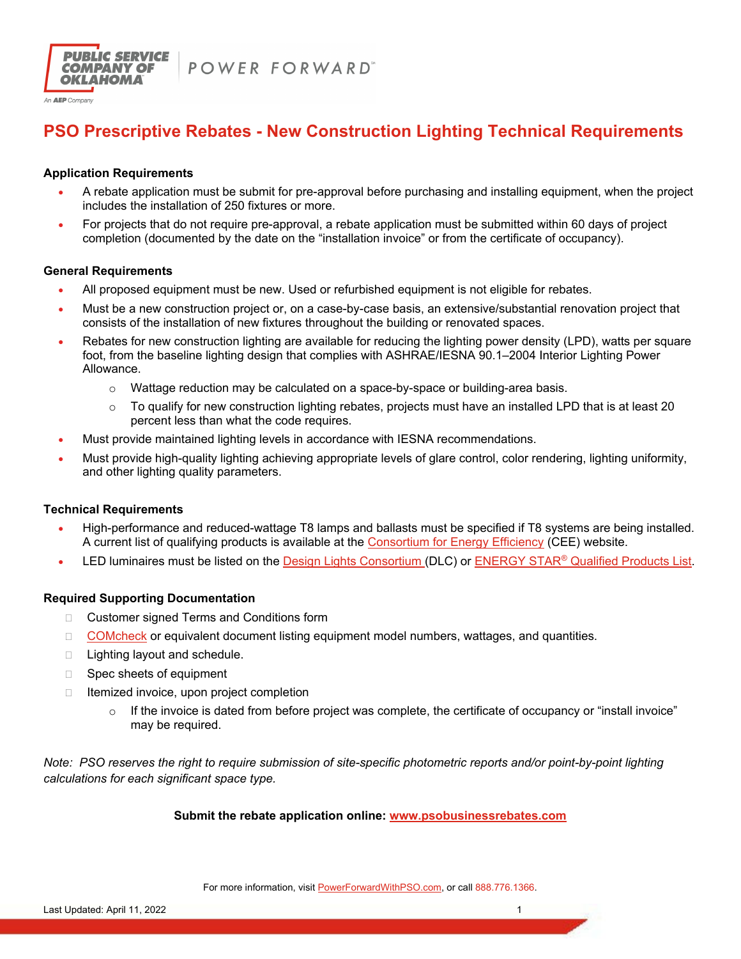



## **PSO Prescriptive Rebates - New Construction Lighting Technical Requirements**

### **Application Requirements**

- A rebate application must be submit for pre-approval before purchasing and installing equipment, when the project includes the installation of 250 fixtures or more.
- For projects that do not require pre-approval, a rebate application must be submitted within 60 days of project completion (documented by the date on the "installation invoice" or from the certificate of occupancy).

#### **General Requirements**

- All proposed equipment must be new. Used or refurbished equipment is not eligible for rebates.
- Must be a new construction project or, on a case-by-case basis, an extensive/substantial renovation project that consists of the installation of new fixtures throughout the building or renovated spaces.
- Rebates for new construction lighting are available for reducing the lighting power density (LPD), watts per square foot, from the baseline lighting design that complies with ASHRAE/IESNA 90.1–2004 Interior Lighting Power Allowance.
	- $\circ$  Wattage reduction may be calculated on a space-by-space or building-area basis.
	- $\circ$  To qualify for new construction lighting rebates, projects must have an installed LPD that is at least 20 percent less than what the code requires.
- Must provide maintained lighting levels in accordance with IESNA recommendations.
- Must provide high-quality lighting achieving appropriate levels of glare control, color rendering, lighting uniformity, and other lighting quality parameters.

## **Technical Requirements**

- High-performance and reduced-wattage T8 lamps and ballasts must be specified if T8 systems are being installed. A current list of qualifying products is available at the Consortium for Energy Efficiency (CEE) website.
- LED luminaires must be listed on the Design Lights Consortium (DLC) or ENERGY STAR® Qualified Products List.

## **Required Supporting Documentation**

- □ Customer signed Terms and Conditions form
- □ COMcheck or equivalent document listing equipment model numbers, wattages, and quantities.
- $\Box$  Lighting layout and schedule.
- □ Spec sheets of equipment
- $\Box$  Itemized invoice, upon project completion
	- $\circ$  If the invoice is dated from before project was complete, the certificate of occupancy or "install invoice" may be required.

*Note: PSO reserves the right to require submission of site-specific photometric reports and/or point-by-point lighting calculations for each significant space type.* 

## **Submit the rebate application online: www.psobusinessrebates.com**

For more information, visit PowerForwardWithPSO.com, or call 888.776.1366.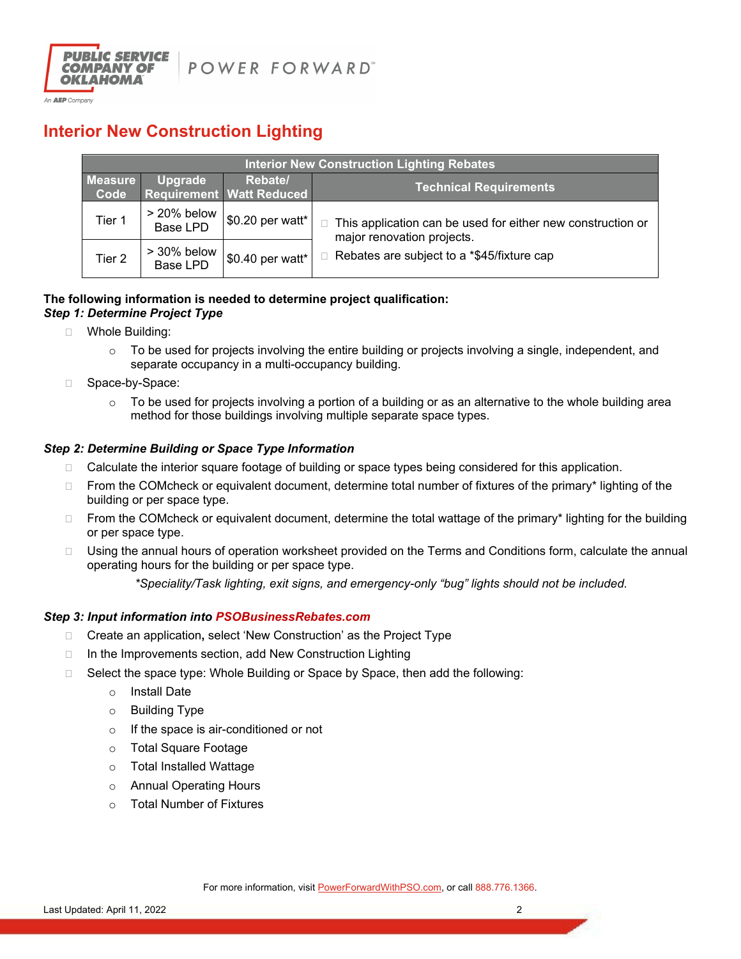

## **Interior New Construction Lighting**

| <b>Interior New Construction Lighting Rebates</b> |                                |                                            |                                                                                                                                                |  |  |  |
|---------------------------------------------------|--------------------------------|--------------------------------------------|------------------------------------------------------------------------------------------------------------------------------------------------|--|--|--|
| <b>Measure</b><br>Code                            | Upgrade                        | Rebate/<br><b>Requirement Watt Reduced</b> | <b>Technical Requirements</b>                                                                                                                  |  |  |  |
| Tier 1                                            | > 20% below<br><b>Base LPD</b> | \$0.20 per watt*                           | $\Box$ This application can be used for either new construction or<br>major renovation projects.<br>Rebates are subject to a *\$45/fixture cap |  |  |  |
| Tier 2                                            | > 30% below<br>Base LPD        | \$0.40 per watt*                           |                                                                                                                                                |  |  |  |

#### **The following information is needed to determine project qualification:**  *Step 1: Determine Project Type*

- □ Whole Building:
	- $\circ$  To be used for projects involving the entire building or projects involving a single, independent, and separate occupancy in a multi-occupancy building.
- □ Space-by-Space:
	- $\circ$  To be used for projects involving a portion of a building or as an alternative to the whole building area method for those buildings involving multiple separate space types.

### *Step 2: Determine Building or Space Type Information*

- $\Box$  Calculate the interior square footage of building or space types being considered for this application.
- $\Box$  From the COMcheck or equivalent document, determine total number of fixtures of the primary\* lighting of the building or per space type.
- □ From the COMcheck or equivalent document, determine the total wattage of the primary\* lighting for the building or per space type.
- □ Using the annual hours of operation worksheet provided on the Terms and Conditions form, calculate the annual operating hours for the building or per space type.

*\*Speciality/Task lighting, exit signs, and emergency-only "bug" lights should not be included.* 

#### *Step 3: Input information into PSOBusinessRebates.com*

- Create an application**,** select 'New Construction' as the Project Type
- $\Box$  In the Improvements section, add New Construction Lighting
- □ Select the space type: Whole Building or Space by Space, then add the following:
	- o Install Date
	- o Building Type
	- o If the space is air-conditioned or not
	- o Total Square Footage
	- o Total Installed Wattage
	- o Annual Operating Hours
	- o Total Number of Fixtures